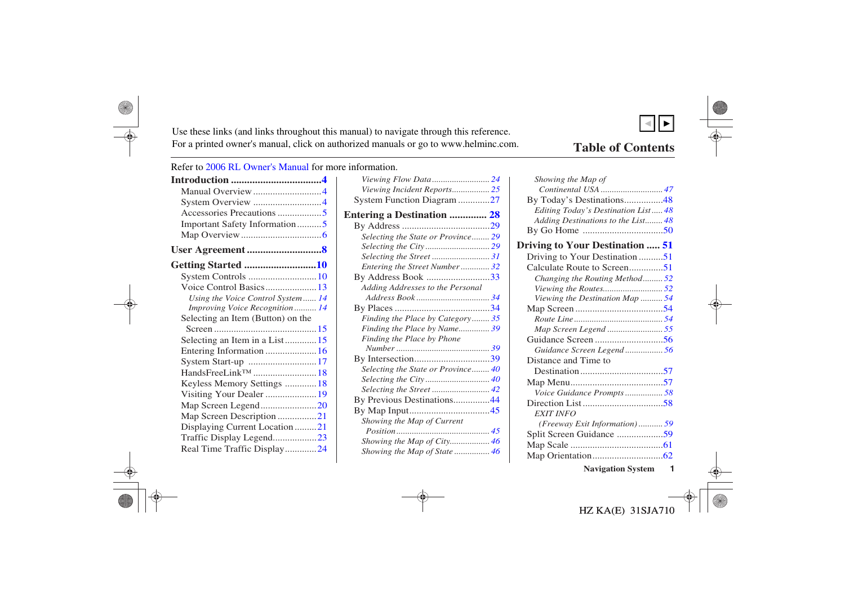<span id="page-0-0"></span>Use these links (and links throughout this manual) to navigate through this reference. For a printed owner's manual, click on authorized manuals or go to www.helminc.com.

## **Table of Contents**

 $\overline{\phantom{a}}$ ▼

Refer to 2006 RL Owner's Manual for more information.

| Manual Overview 4                 |  |
|-----------------------------------|--|
| System Overview 4                 |  |
|                                   |  |
| Important Safety Information5     |  |
|                                   |  |
| User Agreement 8                  |  |
| Getting Started 10                |  |
| System Controls 10                |  |
| Voice Control Basics 13           |  |
| Using the Voice Control System 14 |  |
| Improving Voice Recognition 14    |  |
| Selecting an Item (Button) on the |  |
|                                   |  |
| Selecting an Item in a List15     |  |
| Entering Information  16          |  |
| System Start-up 17                |  |
| HandsFreeLink <sup>TM</sup> 18    |  |
| Keyless Memory Settings  18       |  |
| Visiting Your Dealer  19          |  |
| Map Screen Legend20               |  |
| Map Screen Description 21         |  |
| Displaying Current Location 21    |  |
| Traffic Display Legend23          |  |
| Real Time Traffic Display24       |  |

| Viewing Incident Reports 25        |  |
|------------------------------------|--|
| System Function Diagram 27         |  |
| <b>Entering a Destination  28</b>  |  |
|                                    |  |
| Selecting the State or Province 29 |  |
|                                    |  |
| Selecting the Street 31            |  |
| Entering the Street Number32       |  |
| By Address Book 33                 |  |
| Adding Addresses to the Personal   |  |
|                                    |  |
|                                    |  |
| Finding the Place by Category 35   |  |
| Finding the Place by Name 39       |  |
| Finding the Place by Phone         |  |
|                                    |  |
|                                    |  |
| Selecting the State or Province 40 |  |
|                                    |  |
|                                    |  |
| By Previous Destinations44         |  |
|                                    |  |
|                                    |  |
| Showing the Map of Current         |  |
|                                    |  |
| Showing the Map of City 46         |  |
| Showing the Map of State  46       |  |

| Showing the Map of                     |   |
|----------------------------------------|---|
| Continental USA  47                    |   |
| By Today's Destinations48              |   |
| Editing Today's Destination List 48    |   |
| Adding Destinations to the List 48     |   |
|                                        |   |
| <b>Driving to Your Destination  51</b> |   |
| Driving to Your Destination51          |   |
| Calculate Route to Screen51            |   |
| Changing the Routing Method52          |   |
|                                        |   |
| Viewing the Destination Map  54        |   |
|                                        |   |
|                                        |   |
| Map Screen Legend 55                   |   |
|                                        |   |
| Guidance Screen Legend56               |   |
| Distance and Time to                   |   |
|                                        |   |
|                                        |   |
| Voice Guidance Prompts58               |   |
|                                        |   |
| <b>EXIT INFO</b>                       |   |
| (Freeway Exit Information)  59         |   |
| Split Screen Guidance 59               |   |
|                                        |   |
|                                        |   |
| <b>Navigation System</b>               | 1 |
|                                        |   |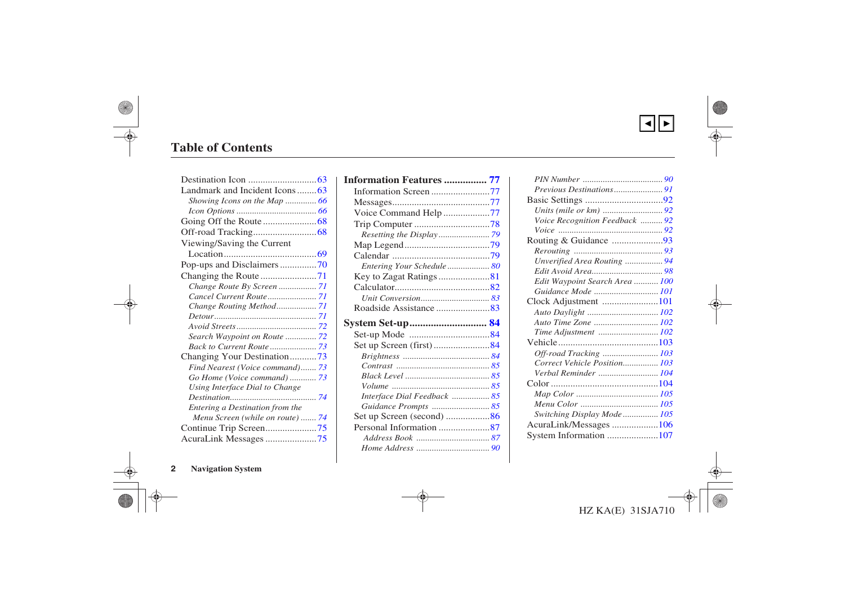▲▼

## <span id="page-1-0"></span>**Table of Contents**

| Landmark and Incident Icons 63   |
|----------------------------------|
| Showing Icons on the Map  66     |
|                                  |
|                                  |
|                                  |
| Viewing/Saving the Current       |
|                                  |
| Pop-ups and Disclaimers70        |
|                                  |
|                                  |
|                                  |
|                                  |
|                                  |
|                                  |
| Search Waypoint on Route  72     |
| Back to Current Route  73        |
| Changing Your Destination73      |
| Find Nearest (Voice command) 73  |
| Go Home (Voice command)  73      |
| Using Interface Dial to Change   |
|                                  |
| Entering a Destination from the  |
| Menu Screen (while on route)  74 |
| Continue Trip Screen75           |
| AcuraLink Messages 75            |

| <b>Information Features  77</b> |  |
|---------------------------------|--|
| Information Screen 77           |  |
|                                 |  |
| Voice Command Help 77           |  |
|                                 |  |
|                                 |  |
|                                 |  |
|                                 |  |
| Entering Your Schedule  80      |  |
| Key to Zagat Ratings 81         |  |
|                                 |  |
|                                 |  |
|                                 |  |
|                                 |  |
|                                 |  |
| System Set-up 84                |  |
|                                 |  |
|                                 |  |
|                                 |  |
|                                 |  |
|                                 |  |
| Interface Dial Feedback  85     |  |
| Guidance Prompts  85            |  |
|                                 |  |
| Personal Information 87         |  |
|                                 |  |

| Voice Recognition Feedback  92 |  |
|--------------------------------|--|
|                                |  |
| Routing & Guidance 93          |  |
|                                |  |
| Unverified Area Routing  94    |  |
|                                |  |
| Edit Waypoint Search Area  100 |  |
| Guidance Mode  101             |  |
| Clock Adjustment 101           |  |
|                                |  |
| Auto Time Zone  102            |  |
|                                |  |
|                                |  |
| Off-road Tracking  103         |  |
| Correct Vehicle Position 103   |  |
| Verbal Reminder 104            |  |
|                                |  |
|                                |  |
|                                |  |
| Switching Display Mode 105     |  |
| AcuraLink/Messages 106         |  |
| System Information 107         |  |
|                                |  |